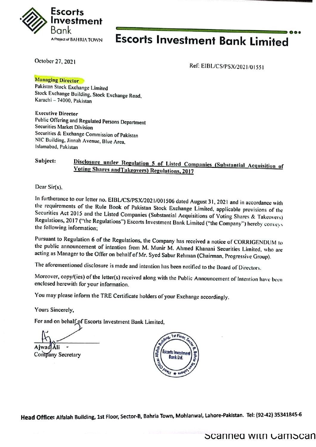

# **Escorts Investment Bank Limited**

October 27, 2021

Ref: EIBL/CS/PSX/2021/01551

**Managing Director** 

Pakistan Stock Exchange Limited Stock Exchange Building, Stock Exchange Road, Karachi - 74000, Pakistan

**Executive Director** Public Offering and Regulated Persons Department **Securities Market Division** Securities & Exchange Commission of Pakistan NIC Building, Jinnah Avenue, Blue Area. Islamabad, Pakistan

#### Subject: Disclosure under Regulation 5 of Listed Companies (Substantial Acquisition of **Voting Shares and Takeovers) Regulations, 2017**

Dear Sir(s),

In furtherance to our letter no. EIBL/CS/PSX/2021/001506 dated August 31, 2021 and in accordance with the requirements of the Rule Book of Pakistan Stock Exchange Limited, applicable provisions of the Securities Act 2015 and the Listed Companies (Substantial Acquisitions of Voting Shares & Takeovers) Regulations, 2017 ("the Regulations") Escorts Investment Bank Limited ("the Company") hereby conveys the following information;

Pursuant to Regulation 6 of the Regulations, the Company has received a notice of CORRIGENDUM to the public announcement of intention from M. Munir M. Ahmed Khanani Securities Limited, who are acting as Manager to the Offer on behalf of Mr. Syed Sabur Rehman (Chairman, Progressive Group).

The aforementioned disclosure is made and intention has been notified to the Board of Directors.

Moreover, copy/(ies) of the letter(s) received along with the Public Announcement of Intention have been enclosed herewith for your information.

You may please inform the TRE Certificate holders of your Exchange accordingly.

Yours Sincerely,

For and on behalf of Escorts Investment Bank Limited,

Company Secretary



Head Office: Alfalah Building, 1st Floor, Sector-B, Bahria Town, Mohlanwal, Lahore-Pakistan. Tel: (92-42) 35341845-6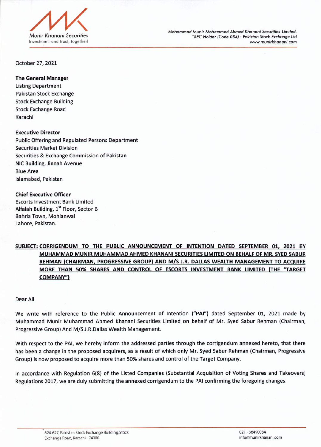

*Mohammad Munir Mohammad Ahmed Khanani Securities Limited. TRECHolder (Code 084) : Pakistan Stock Exchange Ltd www.munirkhanani.com*

October 27,2021

## The General Manager

Listing Department Pakistan Stock Exchange Stock Exchange Building Stock Exchange Road Karachi

Executive Director Public Offering and Regulated Persons Department Securities Market Division Securities & Exchange Commission of Pakistan NICBuilding, Jinnah Avenue **Blue Area** Islamabad, Pakistan

### Chief Executive Officer

Escorts Investment Bank Limited Alfalah Building, 1<sup>st</sup> Floor, Sector B Bahria Town, Mohlanwal Lahore, Pakistan.

## SUBJECT: CORRIGENDUM TO THE PUBLIC ANNOUNCEMENT OF INTENTION DATED SEPTEMBER 01, 2021 BY MUHAMMAD MUNIR MUHAMMAD AHMED KHANANI SECURITIESLIMITEDON BEHALFOF MR. SYEDSABUR REHMAN (CHAIRMAN, PROGRESSIVE GROUP) AND M/S J.R. DALLAS WEALTH MANAGEMENT TO ACQUIRE MORE THAN 50% SHARES AND CONTROL OF ESCORTS INVESTMENT BANK LIMITED (THE "TARGET COMPANY")

### Dear All

We write with reference to the Public Announcement of Intention ("PAI") dated September 01, 2021 made by Muhammad Munir Muhammad Ahmed Khanani Securities Limited on behalf of Mr. Syed Sabur Rehman (Chairman, Progressive Group) And M/S J.R.Dallas Wealth Management.

With respect to the PAl, we hereby inform the addressed parties through the corrigendum annexed hereto, that there has been a change in the proposed acquirers, as a result of which only Mr. Syed Sabur Rehman (Chairman, Progressive Group) isnow proposed to acquire more than 50%sharesand control of the Target Company.

In accordance with Regulation 6(8) of the Listed Companies (Substantial Acquisition of Voting Shares and Takeovers) Regulations 2017, we are duly submitting the annexed corrigendum to the PAI confirming the foregoing changes.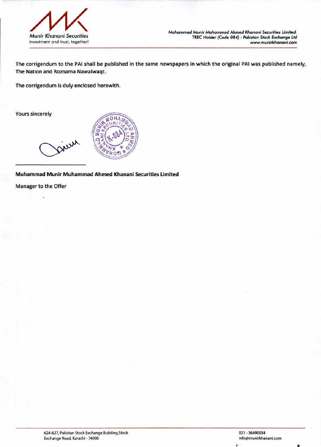

*Mohammad Munir Mohammad Ahmed Khanani Securities Limited. TRECHolder* (Code 084) : *Pakistan Stock Exchange* Ltd *www.munirkhanani.com*

The corrigendum to the PAl shall be published in the same newspapers in which the original PAl was published namely, The Nation and Roznama Nawaiwaqt.

The corrigendum is duly enclosed herewith.

Yours sincerely



Muhammad Munir Muhammad Ahmed Khanani Securities Limited

Manager to the Offer